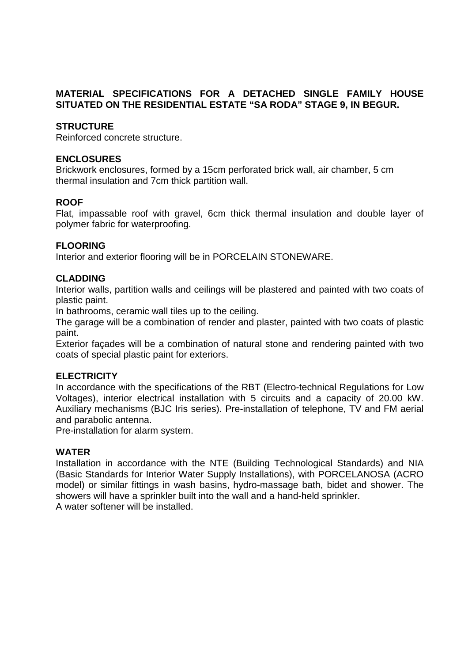## **MATERIAL SPECIFICATIONS FOR A DETACHED SINGLE FAMILY HOUSE SITUATED ON THE RESIDENTIAL ESTATE "SA RODA" STAGE 9, IN BEGUR.**

## **STRUCTURE**

Reinforced concrete structure.

#### **ENCLOSURES**

Brickwork enclosures, formed by a 15cm perforated brick wall, air chamber, 5 cm thermal insulation and 7cm thick partition wall.

### **ROOF**

Flat, impassable roof with gravel, 6cm thick thermal insulation and double layer of polymer fabric for waterproofing.

#### **FLOORING**

Interior and exterior flooring will be in PORCELAIN STONEWARE.

#### **CLADDING**

Interior walls, partition walls and ceilings will be plastered and painted with two coats of plastic paint.

In bathrooms, ceramic wall tiles up to the ceiling.

The garage will be a combination of render and plaster, painted with two coats of plastic paint.

Exterior façades will be a combination of natural stone and rendering painted with two coats of special plastic paint for exteriors.

### **ELECTRICITY**

In accordance with the specifications of the RBT (Electro-technical Regulations for Low Voltages), interior electrical installation with 5 circuits and a capacity of 20.00 kW. Auxiliary mechanisms (BJC Iris series). Pre-installation of telephone, TV and FM aerial and parabolic antenna.

Pre-installation for alarm system.

### **WATER**

Installation in accordance with the NTE (Building Technological Standards) and NIA (Basic Standards for Interior Water Supply Installations), with PORCELANOSA (ACRO model) or similar fittings in wash basins, hydro-massage bath, bidet and shower. The showers will have a sprinkler built into the wall and a hand-held sprinkler. A water softener will be installed.